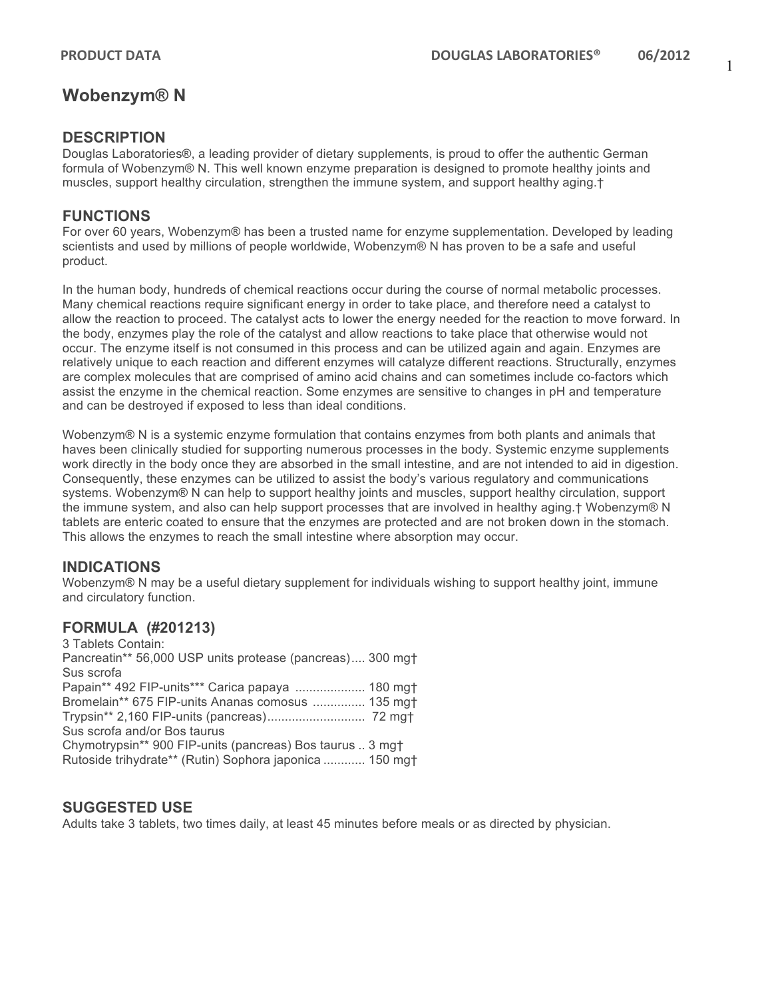## **Wobenzym® N**

### **DESCRIPTION**

Douglas Laboratories®, a leading provider of dietary supplements, is proud to offer the authentic German formula of Wobenzym® N. This well known enzyme preparation is designed to promote healthy joints and muscles, support healthy circulation, strengthen the immune system, and support healthy aging.†

### **FUNCTIONS**

For over 60 years, Wobenzym® has been a trusted name for enzyme supplementation. Developed by leading scientists and used by millions of people worldwide, Wobenzym® N has proven to be a safe and useful product.

In the human body, hundreds of chemical reactions occur during the course of normal metabolic processes. Many chemical reactions require significant energy in order to take place, and therefore need a catalyst to allow the reaction to proceed. The catalyst acts to lower the energy needed for the reaction to move forward. In the body, enzymes play the role of the catalyst and allow reactions to take place that otherwise would not occur. The enzyme itself is not consumed in this process and can be utilized again and again. Enzymes are relatively unique to each reaction and different enzymes will catalyze different reactions. Structurally, enzymes are complex molecules that are comprised of amino acid chains and can sometimes include co-factors which assist the enzyme in the chemical reaction. Some enzymes are sensitive to changes in pH and temperature and can be destroyed if exposed to less than ideal conditions.

Wobenzym® N is a systemic enzyme formulation that contains enzymes from both plants and animals that haves been clinically studied for supporting numerous processes in the body. Systemic enzyme supplements work directly in the body once they are absorbed in the small intestine, and are not intended to aid in digestion. Consequently, these enzymes can be utilized to assist the body's various regulatory and communications systems. Wobenzym® N can help to support healthy joints and muscles, support healthy circulation, support the immune system, and also can help support processes that are involved in healthy aging.† Wobenzym® N tablets are enteric coated to ensure that the enzymes are protected and are not broken down in the stomach. This allows the enzymes to reach the small intestine where absorption may occur.

### **INDICATIONS**

Wobenzym® N may be a useful dietary supplement for individuals wishing to support healthy joint, immune and circulatory function.

### **FORMULA (#201213)**

3 Tablets Contain: Pancreatin\*\* 56,000 USP units protease (pancreas).... 300 mg† Sus scrofa Papain\*\* 492 FIP-units\*\*\* Carica papaya .................... 180 mg† Bromelain\*\* 675 FIP-units Ananas comosus ............... 135 mg† Trypsin\*\* 2,160 FIP-units (pancreas)............................ 72 mg† Sus scrofa and/or Bos taurus Chymotrypsin\*\* 900 FIP-units (pancreas) Bos taurus .. 3 mg† Rutoside trihydrate\*\* (Rutin) Sophora japonica ............ 150 mg†

### **SUGGESTED USE**

Adults take 3 tablets, two times daily, at least 45 minutes before meals or as directed by physician.

1